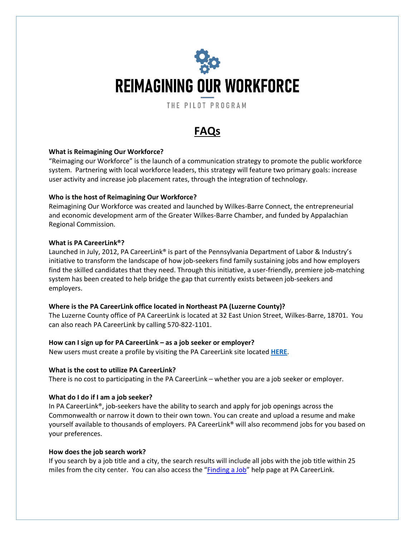# **REIMAGINING OUR WORKFORCE**

THE PILOT PROGRAM

# **FAQs**

# **What is Reimagining Our Workforce?**

"Reimaging our Workforce" is the launch of a communication strategy to promote the public workforce system. Partnering with local workforce leaders, this strategy will feature two primary goals: increase user activity and increase job placement rates, through the integration of technology.

# **Who is the host of Reimagining Our Workforce?**

Reimagining Our Workforce was created and launched by Wilkes-Barre Connect, the entrepreneurial and economic development arm of the Greater Wilkes-Barre Chamber, and funded by Appalachian Regional Commission.

# **What is PA CareerLink®?**

Launched in July, 2012, PA CareerLink® is part of the Pennsylvania Department of Labor & Industry's initiative to transform the landscape of how job-seekers find family sustaining jobs and how employers find the skilled candidates that they need. Through this initiative, a user-friendly, premiere job-matching system has been created to help bridge the gap that currently exists between job-seekers and employers.

# **Where is the PA CareerLink office located in Northeast PA (Luzerne County)?**

The Luzerne County office of PA CareerLink is located at 32 East Union Street, Wilkes-Barre, 18701. You can also reach PA CareerLink by calling 570-822-1101.

# **How can I sign up for PA CareerLink – as a job seeker or employer?**

New users must create a profile by visiting the PA CareerLink site located **[HERE](https://www.pacareerlink.pa.gov/jponline)**.

# **What is the cost to utilize PA CareerLink?**

There is no cost to participating in the PA CareerLink – whether you are a job seeker or employer.

# **What do I do if I am a job seeker?**

In PA CareerLink®, job-seekers have the ability to search and apply for job openings across the Commonwealth or narrow it down to their own town. You can create and upload a resume and make yourself available to thousands of employers. PA CareerLink® will also recommend jobs for you based on your preferences.

# **How does the job search work?**

If you search by a job title and a city, the search results will include all jobs with the job title within 25 miles from the city center. You can also access the "**[Finding](https://www.pacareerlink.pa.gov/jponline/Admin/Common/ViewPortalFaq.aspx?jl2Ql8lEAAFGLMmCHlmf9Fe8UDNgoYCJEUJHzwhgy3owmqG0y4DWZvpVFfjtD0EWfxA0Q7lOEEBXEKCjGz41UoxzWDVOXFwesUxzeexdtLTFVUEc0zQ1) a Job**" help page at PA CareerLink.